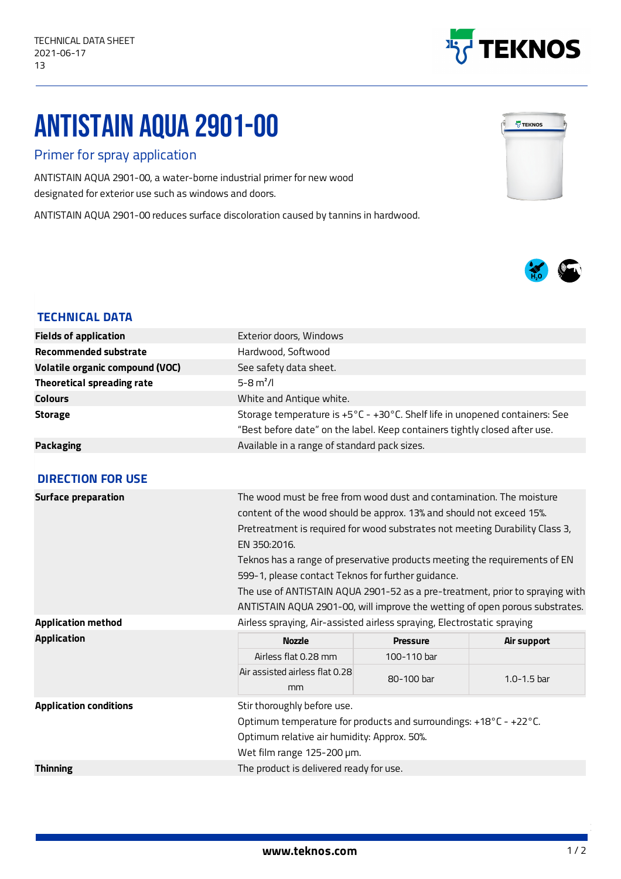

## ANTISTAIN AQUA 2901-00

## Primer for spray application

ANTISTAIN AQUA2901-00,a water-borne industrialprimer fornew wood designated for exterior use such as windows and doors.

ANTISTAIN AQUA 2901-00 reduces surface discoloration caused by tannins in hardwood.





## **TECHNICAL DATA**

| <b>Fields of application</b>           | Exterior doors, Windows                                                      |                 |                 |  |
|----------------------------------------|------------------------------------------------------------------------------|-----------------|-----------------|--|
| <b>Recommended substrate</b>           | Hardwood, Softwood                                                           |                 |                 |  |
| <b>Volatile organic compound (VOC)</b> | See safety data sheet.                                                       |                 |                 |  |
| <b>Theoretical spreading rate</b>      | $5 - 8$ m <sup>2</sup> /l                                                    |                 |                 |  |
| <b>Colours</b>                         | White and Antique white.                                                     |                 |                 |  |
| <b>Storage</b>                         | Storage temperature is +5°C - +30°C. Shelf life in unopened containers: See  |                 |                 |  |
|                                        | "Best before date" on the label. Keep containers tightly closed after use.   |                 |                 |  |
| <b>Packaging</b>                       | Available in a range of standard pack sizes.                                 |                 |                 |  |
|                                        |                                                                              |                 |                 |  |
| <b>DIRECTION FOR USE</b>               |                                                                              |                 |                 |  |
| <b>Surface preparation</b>             | The wood must be free from wood dust and contamination. The moisture         |                 |                 |  |
|                                        | content of the wood should be approx. 13% and should not exceed 15%.         |                 |                 |  |
|                                        | Pretreatment is required for wood substrates not meeting Durability Class 3, |                 |                 |  |
|                                        | EN 350:2016.                                                                 |                 |                 |  |
|                                        | Teknos has a range of preservative products meeting the requirements of EN   |                 |                 |  |
|                                        | 599-1, please contact Teknos for further guidance.                           |                 |                 |  |
|                                        | The use of ANTISTAIN AQUA 2901-52 as a pre-treatment, prior to spraying with |                 |                 |  |
|                                        | ANTISTAIN AQUA 2901-00, will improve the wetting of open porous substrates.  |                 |                 |  |
| <b>Application method</b>              | Airless spraying, Air-assisted airless spraying, Electrostatic spraying      |                 |                 |  |
| <b>Application</b>                     | <b>Nozzle</b>                                                                | <b>Pressure</b> | Air support     |  |
|                                        | Airless flat 0.28 mm                                                         | 100-110 bar     |                 |  |
|                                        | Air assisted airless flat 0.28                                               | 80-100 bar      | $1.0 - 1.5$ bar |  |
|                                        | mm                                                                           |                 |                 |  |
| <b>Application conditions</b>          | Stir thoroughly before use.                                                  |                 |                 |  |
|                                        | Optimum temperature for products and surroundings: +18°C - +22°C.            |                 |                 |  |
|                                        | Optimum relative air humidity: Approx. 50%.                                  |                 |                 |  |
|                                        | Wet film range 125-200 µm.                                                   |                 |                 |  |
| <b>Thinning</b>                        | The product is delivered ready for use.                                      |                 |                 |  |
|                                        |                                                                              |                 |                 |  |

1/2